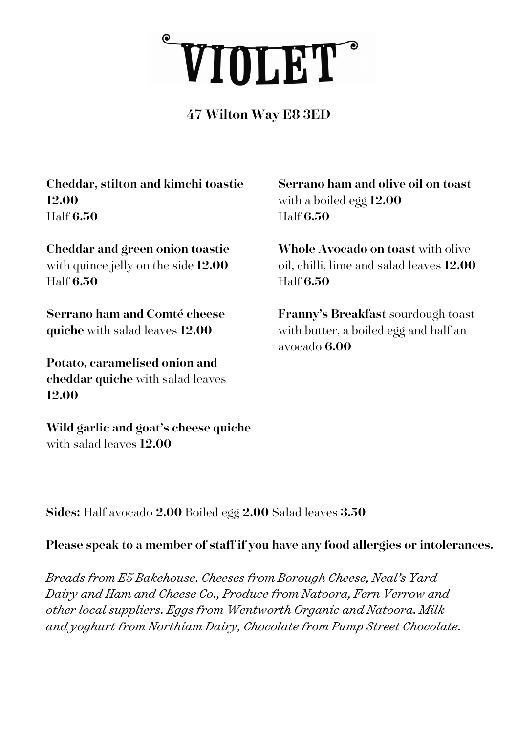

## 47 Wilton Way E8 3ED

Cheddar, stilton and kimchi toastie 12.00 Half 6.50

Cheddar and green onion toastie with quince jelly on the side 12.00 Half 6.50

Serrano ham and Comté cheese quiche with salad leaves 12.00

Potato, caramelised onion and cheddar quiche with salad leaves 12.00

Wild garlic and goat's cheese quiche with salad leaves 12.00

Serrano ham and olive oil on toast with a boiled egg 12.00 Half 6.50

Whole Avocado on toast with olive oil, chilli, lime and salad leaves 12.00 Half 6.50

Franny's Breakfast sourdough toast with butter, a boiled egg and half an avocado 6.00

Sides: Half avocado 2.00 Boiled egg 2.00 Salad leaves 3.50

### Please speak to a member of staff if you have any food allergies or intolerances.

*Breads from E5 Bakehouse. Cheeses from Borough Cheese, Neal's Yard Dairy and Ham and Cheese Co., Produce from Natoora, Fern Verrow and other local suppliers. Eggs from Wentworth Organic and Natoora. Milk and yoghurt from Northiam Dairy, Chocolate from Pump Street Chocolate.*